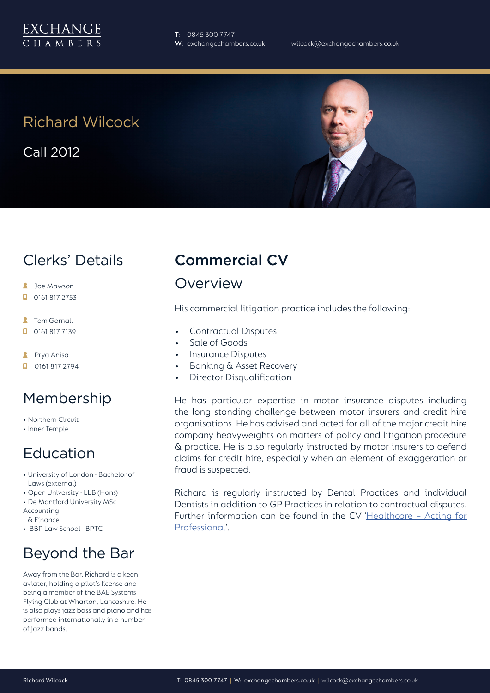

**T**: 0845 300 7747

# Richard Wilcock

Call 2012

### Clerks' Details

- **A** Joe Mawson
- $\Box$  0161 817 2753
- **2** Tom Gornall
- 0161 817 7139
- **A** Prya Anisa
- **D** 0161 817 2794

#### Membership

- Northern Circuit
- Inner Temple

#### Education

- University of London Bachelor of Laws (external)
- Open University LLB (Hons)
- De Montford University MSc
- Accounting & Finance
- BBP Law School BPTC

## Beyond the Bar

Away from the Bar, Richard is a keen aviator, holding a pilot's license and being a member of the BAE Systems Flying Club at Wharton, Lancashire. He is also plays jazz bass and piano and has performed internationally in a number of jazz bands.

## Commercial CV

#### Overview

His commercial litigation practice includes the following:

- Contractual Disputes
- Sale of Goods
- Insurance Disputes
- Banking & Asset Recovery
- Director Disqualification

He has particular expertise in motor insurance disputes including the long standing challenge between motor insurers and credit hire organisations. He has advised and acted for all of the major credit hire company heavyweights on matters of policy and litigation procedure & practice. He is also regularly instructed by motor insurers to defend claims for credit hire, especially when an element of exaggeration or fraud is suspected.

Richard is regularly instructed by Dental Practices and individual Dentists in addition to GP Practices in relation to contractual disputes. Further information can be found in the CV 'Healthcare - Acting for Professional'.